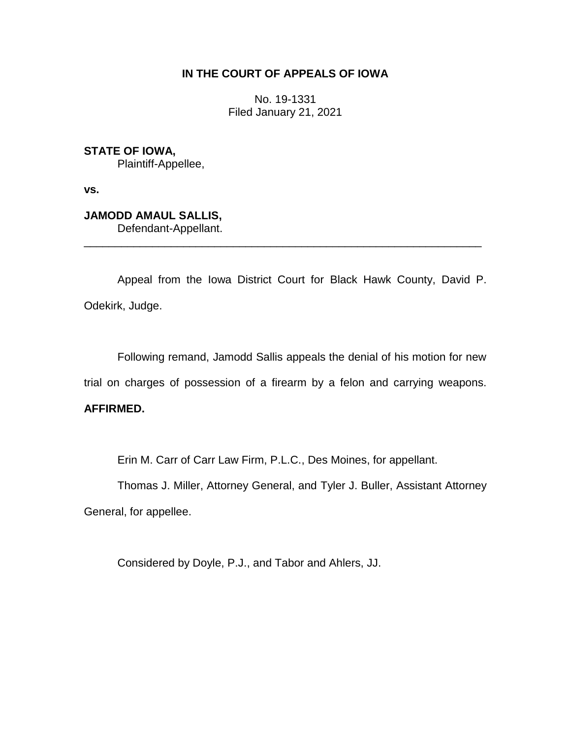## **IN THE COURT OF APPEALS OF IOWA**

No. 19-1331 Filed January 21, 2021

**STATE OF IOWA,** Plaintiff-Appellee,

**vs.**

**JAMODD AMAUL SALLIS,** Defendant-Appellant.

Appeal from the Iowa District Court for Black Hawk County, David P. Odekirk, Judge.

\_\_\_\_\_\_\_\_\_\_\_\_\_\_\_\_\_\_\_\_\_\_\_\_\_\_\_\_\_\_\_\_\_\_\_\_\_\_\_\_\_\_\_\_\_\_\_\_\_\_\_\_\_\_\_\_\_\_\_\_\_\_\_\_

Following remand, Jamodd Sallis appeals the denial of his motion for new trial on charges of possession of a firearm by a felon and carrying weapons. **AFFIRMED.**

Erin M. Carr of Carr Law Firm, P.L.C., Des Moines, for appellant.

Thomas J. Miller, Attorney General, and Tyler J. Buller, Assistant Attorney General, for appellee.

Considered by Doyle, P.J., and Tabor and Ahlers, JJ.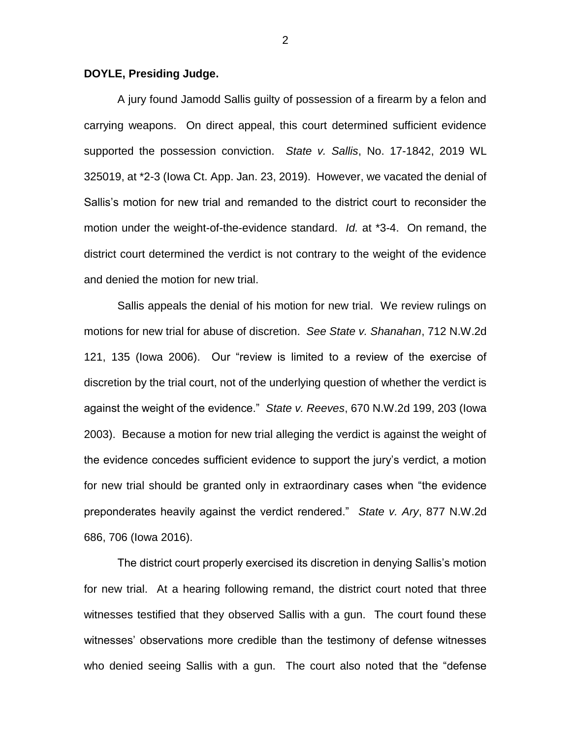## **DOYLE, Presiding Judge.**

A jury found Jamodd Sallis guilty of possession of a firearm by a felon and carrying weapons. On direct appeal, this court determined sufficient evidence supported the possession conviction. *State v. Sallis*, No. 17-1842, 2019 WL 325019, at \*2-3 (Iowa Ct. App. Jan. 23, 2019). However, we vacated the denial of Sallis's motion for new trial and remanded to the district court to reconsider the motion under the weight-of-the-evidence standard. *Id.* at \*3-4. On remand, the district court determined the verdict is not contrary to the weight of the evidence and denied the motion for new trial.

Sallis appeals the denial of his motion for new trial. We review rulings on motions for new trial for abuse of discretion. *See State v. Shanahan*, 712 N.W.2d 121, 135 (Iowa 2006). Our "review is limited to a review of the exercise of discretion by the trial court, not of the underlying question of whether the verdict is against the weight of the evidence." *State v. Reeves*, 670 N.W.2d 199, 203 (Iowa 2003). Because a motion for new trial alleging the verdict is against the weight of the evidence concedes sufficient evidence to support the jury's verdict, a motion for new trial should be granted only in extraordinary cases when "the evidence preponderates heavily against the verdict rendered." *State v. Ary*, 877 N.W.2d 686, 706 (Iowa 2016).

The district court properly exercised its discretion in denying Sallis's motion for new trial. At a hearing following remand, the district court noted that three witnesses testified that they observed Sallis with a gun. The court found these witnesses' observations more credible than the testimony of defense witnesses who denied seeing Sallis with a gun. The court also noted that the "defense

2